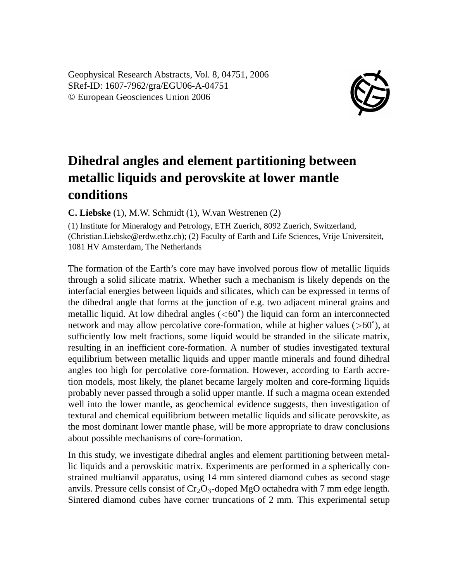Geophysical Research Abstracts, Vol. 8, 04751, 2006 SRef-ID: 1607-7962/gra/EGU06-A-04751 © European Geosciences Union 2006



## **Dihedral angles and element partitioning between metallic liquids and perovskite at lower mantle conditions**

**C. Liebske** (1), M.W. Schmidt (1), W.van Westrenen (2)

(1) Institute for Mineralogy and Petrology, ETH Zuerich, 8092 Zuerich, Switzerland, (Christian.Liebske@erdw.ethz.ch); (2) Faculty of Earth and Life Sciences, Vrije Universiteit, 1081 HV Amsterdam, The Netherlands

The formation of the Earth's core may have involved porous flow of metallic liquids through a solid silicate matrix. Whether such a mechanism is likely depends on the interfacial energies between liquids and silicates, which can be expressed in terms of the dihedral angle that forms at the junction of e.g. two adjacent mineral grains and metallic liquid. At low dihedral angles  $(<60^{\degree}$ ) the liquid can form an interconnected network and may allow percolative core-formation, while at higher values ( $>60^{\circ}$ ), at sufficiently low melt fractions, some liquid would be stranded in the silicate matrix, resulting in an inefficient core-formation. A number of studies investigated textural equilibrium between metallic liquids and upper mantle minerals and found dihedral angles too high for percolative core-formation. However, according to Earth accretion models, most likely, the planet became largely molten and core-forming liquids probably never passed through a solid upper mantle. If such a magma ocean extended well into the lower mantle, as geochemical evidence suggests, then investigation of textural and chemical equilibrium between metallic liquids and silicate perovskite, as the most dominant lower mantle phase, will be more appropriate to draw conclusions about possible mechanisms of core-formation.

In this study, we investigate dihedral angles and element partitioning between metallic liquids and a perovskitic matrix. Experiments are performed in a spherically constrained multianvil apparatus, using 14 mm sintered diamond cubes as second stage anvils. Pressure cells consist of  $Cr_2O_3$ -doped MgO octahedra with 7 mm edge length. Sintered diamond cubes have corner truncations of 2 mm. This experimental setup